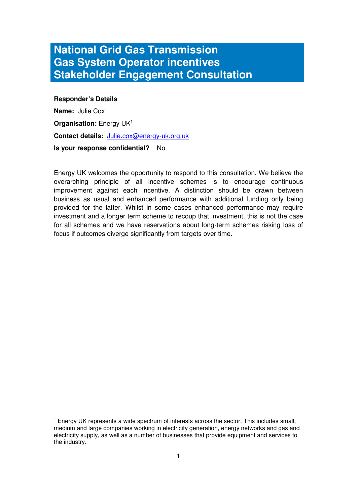# **National Grid Gas Transmission Gas System Operator incentives Stakeholder Engagement Consultation**

#### **Responder's Details**

 $\overline{a}$ 

**Name:** Julie Cox **Organisation:** Energy UK<sup>1</sup> **Contact details:** Julie.cox@energy-uk.org.uk **Is your response confidential?** No

Energy UK welcomes the opportunity to respond to this consultation. We believe the overarching principle of all incentive schemes is to encourage continuous improvement against each incentive. A distinction should be drawn between business as usual and enhanced performance with additional funding only being provided for the latter. Whilst in some cases enhanced performance may require investment and a longer term scheme to recoup that investment, this is not the case for all schemes and we have reservations about long-term schemes risking loss of focus if outcomes diverge significantly from targets over time.

 $1$  Energy UK represents a wide spectrum of interests across the sector. This includes small, medium and large companies working in electricity generation, energy networks and gas and electricity supply, as well as a number of businesses that provide equipment and services to the industry.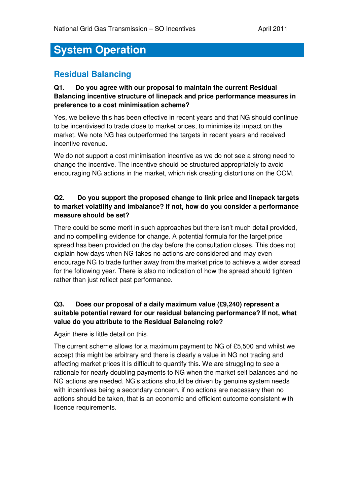# **System Operation**

## **Residual Balancing**

#### **Q1. Do you agree with our proposal to maintain the current Residual Balancing incentive structure of linepack and price performance measures in preference to a cost minimisation scheme?**

Yes, we believe this has been effective in recent years and that NG should continue to be incentivised to trade close to market prices, to minimise its impact on the market. We note NG has outperformed the targets in recent years and received incentive revenue.

We do not support a cost minimisation incentive as we do not see a strong need to change the incentive. The incentive should be structured appropriately to avoid encouraging NG actions in the market, which risk creating distortions on the OCM.

#### **Q2. Do you support the proposed change to link price and linepack targets to market volatility and imbalance? If not, how do you consider a performance measure should be set?**

There could be some merit in such approaches but there isn't much detail provided, and no compelling evidence for change. A potential formula for the target price spread has been provided on the day before the consultation closes. This does not explain how days when NG takes no actions are considered and may even encourage NG to trade further away from the market price to achieve a wider spread for the following year. There is also no indication of how the spread should tighten rather than just reflect past performance.

#### **Q3. Does our proposal of a daily maximum value (£9,240) represent a suitable potential reward for our residual balancing performance? If not, what value do you attribute to the Residual Balancing role?**

Again there is little detail on this.

The current scheme allows for a maximum payment to NG of £5,500 and whilst we accept this might be arbitrary and there is clearly a value in NG not trading and affecting market prices it is difficult to quantify this. We are struggling to see a rationale for nearly doubling payments to NG when the market self balances and no NG actions are needed. NG's actions should be driven by genuine system needs with incentives being a secondary concern, if no actions are necessary then no actions should be taken, that is an economic and efficient outcome consistent with licence requirements.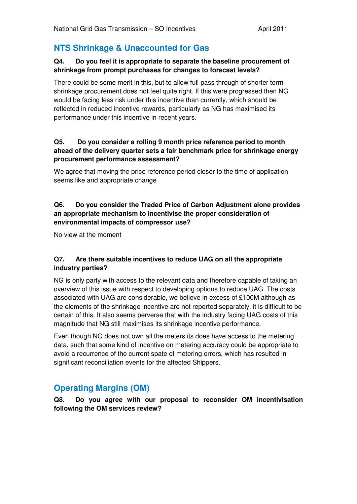## **NTS Shrinkage & Unaccounted for Gas**

#### **Q4. Do you feel it is appropriate to separate the baseline procurement of shrinkage from prompt purchases for changes to forecast levels?**

There could be some merit in this, but to allow full pass through of shorter term shrinkage procurement does not feel quite right. If this were progressed then NG would be facing less risk under this incentive than currently, which should be reflected in reduced incentive rewards, particularly as NG has maximised its performance under this incentive in recent years.

#### **Q5. Do you consider a rolling 9 month price reference period to month ahead of the delivery quarter sets a fair benchmark price for shrinkage energy procurement performance assessment?**

We agree that moving the price reference period closer to the time of application seems like and appropriate change

#### **Q6. Do you consider the Traded Price of Carbon Adjustment alone provides an appropriate mechanism to incentivise the proper consideration of environmental impacts of compressor use?**

No view at the moment

#### **Q7. Are there suitable incentives to reduce UAG on all the appropriate industry parties?**

NG is only party with access to the relevant data and therefore capable of taking an overview of this issue with respect to developing options to reduce UAG. The costs associated with UAG are considerable, we believe in excess of £100M although as the elements of the shrinkage incentive are not reported separately, it is difficult to be certain of this. It also seems perverse that with the industry facing UAG costs of this magnitude that NG still maximises its shrinkage incentive performance.

Even though NG does not own all the meters its does have access to the metering data, such that some kind of incentive on metering accuracy could be appropriate to avoid a recurrence of the current spate of metering errors, which has resulted in significant reconciliation events for the affected Shippers.

## **Operating Margins (OM)**

**Q8. Do you agree with our proposal to reconsider OM incentivisation following the OM services review?**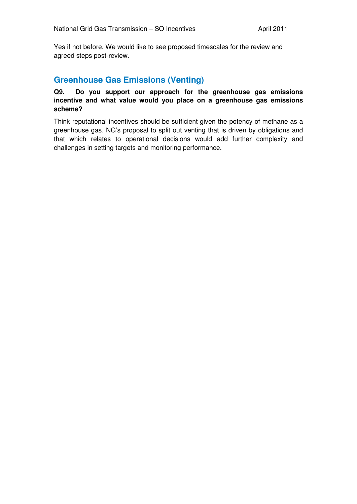Yes if not before. We would like to see proposed timescales for the review and agreed steps post-review.

## **Greenhouse Gas Emissions (Venting)**

#### **Q9. Do you support our approach for the greenhouse gas emissions incentive and what value would you place on a greenhouse gas emissions scheme?**

Think reputational incentives should be sufficient given the potency of methane as a greenhouse gas. NG's proposal to split out venting that is driven by obligations and that which relates to operational decisions would add further complexity and challenges in setting targets and monitoring performance.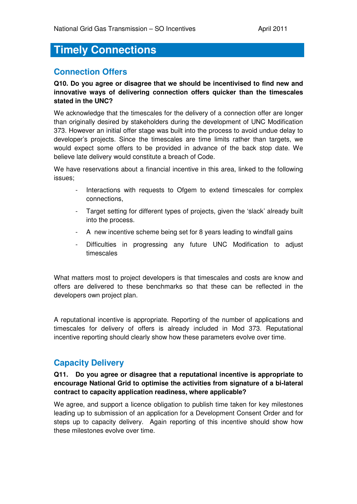## **Timely Connections**

## **Connection Offers**

#### **Q10. Do you agree or disagree that we should be incentivised to find new and innovative ways of delivering connection offers quicker than the timescales stated in the UNC?**

We acknowledge that the timescales for the delivery of a connection offer are longer than originally desired by stakeholders during the development of UNC Modification 373. However an initial offer stage was built into the process to avoid undue delay to developer's projects. Since the timescales are time limits rather than targets, we would expect some offers to be provided in advance of the back stop date. We believe late delivery would constitute a breach of Code.

We have reservations about a financial incentive in this area, linked to the following issues;

- Interactions with requests to Ofgem to extend timescales for complex connections,
- Target setting for different types of projects, given the 'slack' already built into the process.
- A new incentive scheme being set for 8 years leading to windfall gains
- Difficulties in progressing any future UNC Modification to adjust timescales

What matters most to project developers is that timescales and costs are know and offers are delivered to these benchmarks so that these can be reflected in the developers own project plan.

A reputational incentive is appropriate. Reporting of the number of applications and timescales for delivery of offers is already included in Mod 373. Reputational incentive reporting should clearly show how these parameters evolve over time.

## **Capacity Delivery**

#### **Q11. Do you agree or disagree that a reputational incentive is appropriate to encourage National Grid to optimise the activities from signature of a bi-lateral contract to capacity application readiness, where applicable?**

We agree, and support a licence obligation to publish time taken for key milestones leading up to submission of an application for a Development Consent Order and for steps up to capacity delivery. Again reporting of this incentive should show how these milestones evolve over time.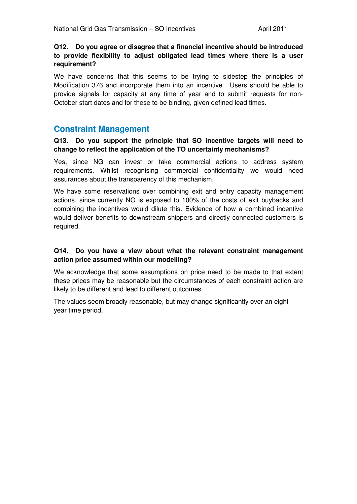#### **Q12. Do you agree or disagree that a financial incentive should be introduced to provide flexibility to adjust obligated lead times where there is a user requirement?**

We have concerns that this seems to be trying to sidestep the principles of Modification 376 and incorporate them into an incentive. Users should be able to provide signals for capacity at any time of year and to submit requests for non-October start dates and for these to be binding, given defined lead times.

## **Constraint Management**

#### **Q13. Do you support the principle that SO incentive targets will need to change to reflect the application of the TO uncertainty mechanisms?**

Yes, since NG can invest or take commercial actions to address system requirements. Whilst recognising commercial confidentiality we would need assurances about the transparency of this mechanism.

We have some reservations over combining exit and entry capacity management actions, since currently NG is exposed to 100% of the costs of exit buybacks and combining the incentives would dilute this. Evidence of how a combined incentive would deliver benefits to downstream shippers and directly connected customers is required.

#### **Q14. Do you have a view about what the relevant constraint management action price assumed within our modelling?**

We acknowledge that some assumptions on price need to be made to that extent these prices may be reasonable but the circumstances of each constraint action are likely to be different and lead to different outcomes.

The values seem broadly reasonable, but may change significantly over an eight year time period.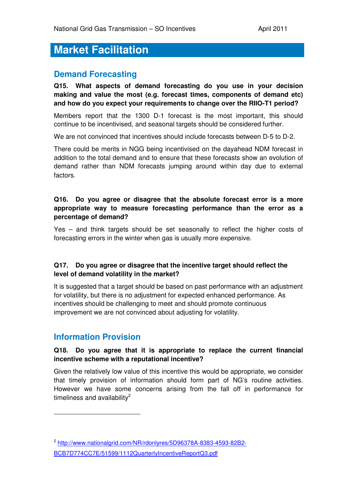# **Market Facilitation**

## **Demand Forecasting**

**Q15. What aspects of demand forecasting do you use in your decision making and value the most (e.g. forecast times, components of demand etc) and how do you expect your requirements to change over the RIIO-T1 period?** 

Members report that the 1300 D-1 forecast is the most important, this should continue to be incentivised, and seasonal targets should be considered further.

We are not convinced that incentives should include forecasts between D-5 to D-2.

There could be merits in NGG being incentivised on the dayahead NDM forecast in addition to the total demand and to ensure that these forecasts show an evolution of demand rather than NDM forecasts jumping around within day due to external factors.

#### **Q16. Do you agree or disagree that the absolute forecast error is a more appropriate way to measure forecasting performance than the error as a percentage of demand?**

Yes – and think targets should be set seasonally to reflect the higher costs of forecasting errors in the winter when gas is usually more expensive.

#### **Q17. Do you agree or disagree that the incentive target should reflect the level of demand volatility in the market?**

It is suggested that a target should be based on past performance with an adjustment for volatility, but there is no adjustment for expected enhanced performance. As incentives should be challenging to meet and should promote continuous improvement we are not convinced about adjusting for volatility.

## **Information Provision**

 $\overline{a}$ 

#### **Q18. Do you agree that it is appropriate to replace the current financial incentive scheme with a reputational incentive?**

Given the relatively low value of this incentive this would be appropriate, we consider that timely provision of information should form part of NG's routine activities. However we have some concerns arising from the fall off in performance for timeliness and availability $^2$ 

<sup>2</sup> http://www.nationalgrid.com/NR/rdonlyres/5D96378A-8383-4593-82B2- BCB7D774CC7E/51599/1112QuarterlyIncentiveReportQ3.pdf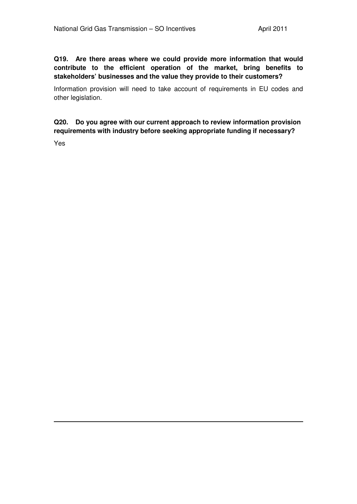**Q19. Are there areas where we could provide more information that would contribute to the efficient operation of the market, bring benefits to stakeholders' businesses and the value they provide to their customers?** 

Information provision will need to take account of requirements in EU codes and other legislation.

**Q20. Do you agree with our current approach to review information provision requirements with industry before seeking appropriate funding if necessary?** 

Yes

 $\overline{a}$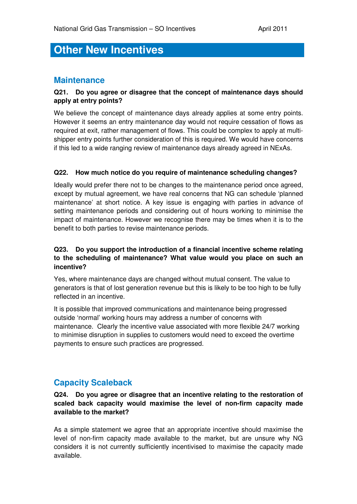# **Other New Incentives**

## **Maintenance**

#### **Q21. Do you agree or disagree that the concept of maintenance days should apply at entry points?**

We believe the concept of maintenance days already applies at some entry points. However it seems an entry maintenance day would not require cessation of flows as required at exit, rather management of flows. This could be complex to apply at multishipper entry points further consideration of this is required. We would have concerns if this led to a wide ranging review of maintenance days already agreed in NExAs.

#### **Q22. How much notice do you require of maintenance scheduling changes?**

Ideally would prefer there not to be changes to the maintenance period once agreed, except by mutual agreement, we have real concerns that NG can schedule 'planned maintenance' at short notice. A key issue is engaging with parties in advance of setting maintenance periods and considering out of hours working to minimise the impact of maintenance. However we recognise there may be times when it is to the benefit to both parties to revise maintenance periods.

#### **Q23. Do you support the introduction of a financial incentive scheme relating to the scheduling of maintenance? What value would you place on such an incentive?**

Yes, where maintenance days are changed without mutual consent. The value to generators is that of lost generation revenue but this is likely to be too high to be fully reflected in an incentive.

It is possible that improved communications and maintenance being progressed outside 'normal' working hours may address a number of concerns with maintenance. Clearly the incentive value associated with more flexible 24/7 working to minimise disruption in supplies to customers would need to exceed the overtime payments to ensure such practices are progressed.

## **Capacity Scaleback**

**Q24. Do you agree or disagree that an incentive relating to the restoration of scaled back capacity would maximise the level of non-firm capacity made available to the market?** 

As a simple statement we agree that an appropriate incentive should maximise the level of non-firm capacity made available to the market, but are unsure why NG considers it is not currently sufficiently incentivised to maximise the capacity made available.